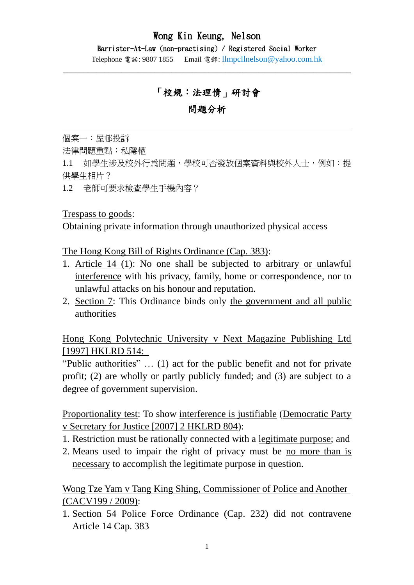## Wong Kin Keung, Nelson

Barrister-At-Law (non-practising) / Registered Social Worker Telephone 電話: 9807 1855 Email 電郵: llmpcllnelson@yahoo.com.hk

**\_\_\_\_\_\_\_\_\_\_\_\_\_\_\_\_\_\_\_\_\_\_\_\_\_\_\_\_\_\_\_\_\_\_\_\_\_\_\_\_\_\_\_\_\_\_\_\_\_\_\_\_\_\_\_\_\_\_\_\_\_\_\_\_\_\_\_\_\_**

# 「校規:法理情」研討會

## 問題分析

個案一:屋邨投訴

 $\overline{a}$ 

法律問題重點:私隱權

1.1 如學生涉及校外行為問題,學校可否發放個案資料與校外人士,例如:提 供學生相片?

1.2 老師可要求檢查學生手機內容?

Trespass to goods:

Obtaining private information through unauthorized physical access

The Hong Kong Bill of Rights Ordinance (Cap. 383):

- 1. Article 14 (1): No one shall be subjected to arbitrary or unlawful interference with his privacy, family, home or correspondence, nor to unlawful attacks on his honour and reputation.
- 2. Section 7: This Ordinance binds only the government and all public authorities

Hong Kong Polytechnic University v Next Magazine Publishing Ltd [1997] HKLRD 514:

"Public authorities" … (1) act for the public benefit and not for private profit; (2) are wholly or partly publicly funded; and (3) are subject to a degree of government supervision.

Proportionality test: To show interference is justifiable (Democratic Party v Secretary for Justice [2007] 2 HKLRD 804):

- 1. Restriction must be rationally connected with a legitimate purpose; and
- 2. Means used to impair the right of privacy must be no more than is necessary to accomplish the legitimate purpose in question.

Wong Tze Yam v Tang King Shing, Commissioner of Police and Another (CACV199 / 2009):

1. Section 54 Police Force Ordinance (Cap. 232) did not contravene Article 14 Cap. 383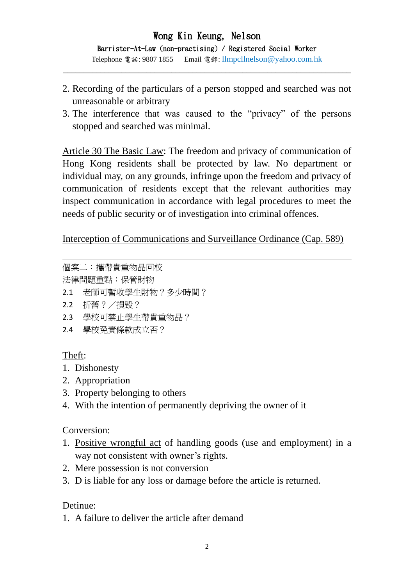- 2. Recording of the particulars of a person stopped and searched was not unreasonable or arbitrary
- 3. The interference that was caused to the "privacy" of the persons stopped and searched was minimal.

Article 30 The Basic Law: The freedom and privacy of communication of Hong Kong residents shall be protected by law. No department or individual may, on any grounds, infringe upon the freedom and privacy of communication of residents except that the relevant authorities may inspect communication in accordance with legal procedures to meet the needs of public security or of investigation into criminal offences.

### Interception of Communications and Surveillance Ordinance (Cap. 589)

個案二:攜帶貴重物品回校 法律問題重點:保管財物

- 2.1 老師可暫收學生財物?多少時間?
- 2.2 折舊?/損毀?
- 2.3 學校可禁止學生帶貴重物品?
- 2.4 學校免責條款成立否?

## Theft:

 $\overline{a}$ 

- 1. Dishonesty
- 2. Appropriation
- 3. Property belonging to others
- 4. With the intention of permanently depriving the owner of it

## Conversion:

- 1. Positive wrongful act of handling goods (use and employment) in a way not consistent with owner's rights.
- 2. Mere possession is not conversion
- 3. D is liable for any loss or damage before the article is returned.

## Detinue:

1. A failure to deliver the article after demand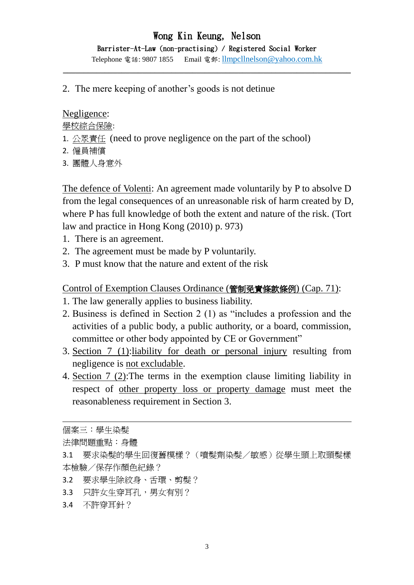2. The mere keeping of another's goods is not detinue

#### Negligence:

#### 學校綜合保險:

- 1. 公眾責任 (need to prove negligence on the part of the school)
- 2. 僱員補償
- 3. 團體人身意外

The defence of Volenti: An agreement made voluntarily by P to absolve D from the legal consequences of an unreasonable risk of harm created by D, where P has full knowledge of both the extent and nature of the risk. (Tort law and practice in Hong Kong (2010) p. 973)

- 1. There is an agreement.
- 2. The agreement must be made by P voluntarily.
- 3. P must know that the nature and extent of the risk

### Control of Exemption Clauses Ordinance (管制免責條款條例) (Cap. 71):

- 1. The law generally applies to business liability.
- 2. Business is defined in Section 2 (1) as "includes a profession and the activities of a public body, a public authority, or a board, commission, committee or other body appointed by CE or Government"
- 3. Section 7 (1):liability for death or personal injury resulting from negligence is not excludable.
- 4. Section 7 (2):The terms in the exemption clause limiting liability in respect of other property loss or property damage must meet the reasonableness requirement in Section 3.

個案三:學生染髮

 $\overline{a}$ 

法律問題重點:身體

- 3.1 要求染髮的學生回復舊模樣?(噴髮劑染髮/敏感)從學生頭上取頭髮樣 本檢驗/保存作顏色紀錄?
- 3.2 要求學生除紋身、舌環、剪髮?
- 3.3 只許女生穿耳孔,男女有別?
- 3.4 不許穿耳針?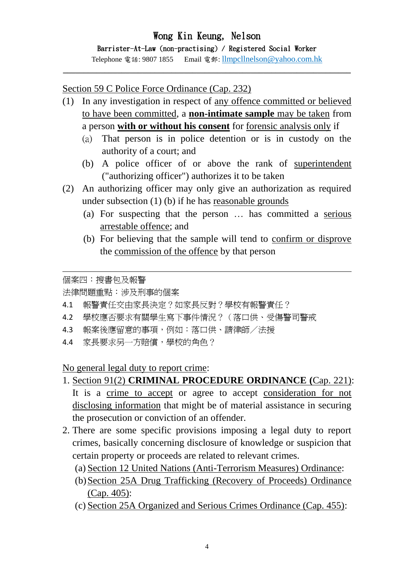Section 59 C Police Force Ordinance (Cap. 232)

- (1) In any investigation in respect of any offence committed or believed to have been committed, a **non-intimate sample** may be taken from a person **with or without his consent** for forensic analysis only if
	- (a) That person is in police detention or is in custody on the authority of a court; and
	- (b) A police officer of or above the rank of superintendent ("authorizing officer") authorizes it to be taken
- (2) An authorizing officer may only give an authorization as required under subsection (1) (b) if he has reasonable grounds
	- (a) For suspecting that the person … has committed a serious arrestable offence; and
	- (b) For believing that the sample will tend to confirm or disprove the commission of the offence by that person

個案四:搜書包及報警

 $\overline{a}$ 

法律問題重點:涉及刑事的個案

- 4.1 報警責任交由家長決定?如家長反對?學校有報警責任?
- 4.2 學校應否要求有關學生寫下事件情況?(落口供、受傷警司警戒
- 4.3 報案後應留意的事項,例如:落口供、請律師/法援
- 4.4 家長要求另一方賠償,學校的角色?

No general legal duty to report crime:

- 1. Section 91(2) **CRIMINAL PROCEDURE ORDINANCE (**Cap. 221): It is a crime to accept or agree to accept consideration for not disclosing information that might be of material assistance in securing the prosecution or conviction of an offender.
- 2. There are some specific provisions imposing a legal duty to report crimes, basically concerning disclosure of knowledge or suspicion that certain property or proceeds are related to relevant crimes.
	- (a) Section 12 United Nations (Anti-Terrorism Measures) Ordinance:
	- (b)Section 25A Drug Trafficking (Recovery of Proceeds) Ordinance (Cap. 405):
	- (c) Section 25A Organized and Serious Crimes Ordinance (Cap. 455):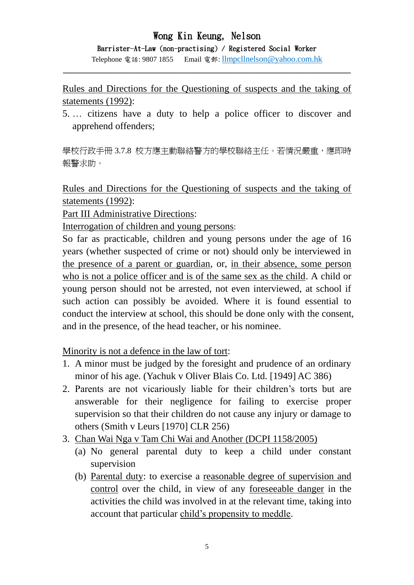# Wong Kin Keung, Nelson

Barrister-At-Law (non-practising) / Registered Social Worker

Telephone 電話: 9807 1855 Email 電郵: llmpcllnelson@yahoo.com.hk **\_\_\_\_\_\_\_\_\_\_\_\_\_\_\_\_\_\_\_\_\_\_\_\_\_\_\_\_\_\_\_\_\_\_\_\_\_\_\_\_\_\_\_\_\_\_\_\_\_\_\_\_\_\_\_\_\_\_\_\_\_\_\_\_\_\_\_\_\_**

Rules and Directions for the Questioning of suspects and the taking of statements (1992):

5. … citizens have a duty to help a police officer to discover and apprehend offenders;

學校行政手冊 3.7.8 校方應主動聯絡警方的學校聯絡主任。若情況嚴重,應即時 報警求助。

Rules and Directions for the Questioning of suspects and the taking of statements (1992):

Part III Administrative Directions:

Interrogation of children and young persons:

So far as practicable, children and young persons under the age of 16 years (whether suspected of crime or not) should only be interviewed in the presence of a parent or guardian, or, in their absence, some person who is not a police officer and is of the same sex as the child. A child or young person should not be arrested, not even interviewed, at school if such action can possibly be avoided. Where it is found essential to conduct the interview at school, this should be done only with the consent, and in the presence, of the head teacher, or his nominee.

Minority is not a defence in the law of tort:

- 1. A minor must be judged by the foresight and prudence of an ordinary minor of his age. (Yachuk v Oliver Blais Co. Ltd. [1949] AC 386)
- 2. Parents are not vicariously liable for their children's torts but are answerable for their negligence for failing to exercise proper supervision so that their children do not cause any injury or damage to others (Smith v Leurs [1970] CLR 256)
- 3. Chan Wai Nga v Tam Chi Wai and Another (DCPI 1158/2005)
	- (a) No general parental duty to keep a child under constant supervision
	- (b) Parental duty: to exercise a reasonable degree of supervision and control over the child, in view of any foreseeable danger in the activities the child was involved in at the relevant time, taking into account that particular child's propensity to meddle.